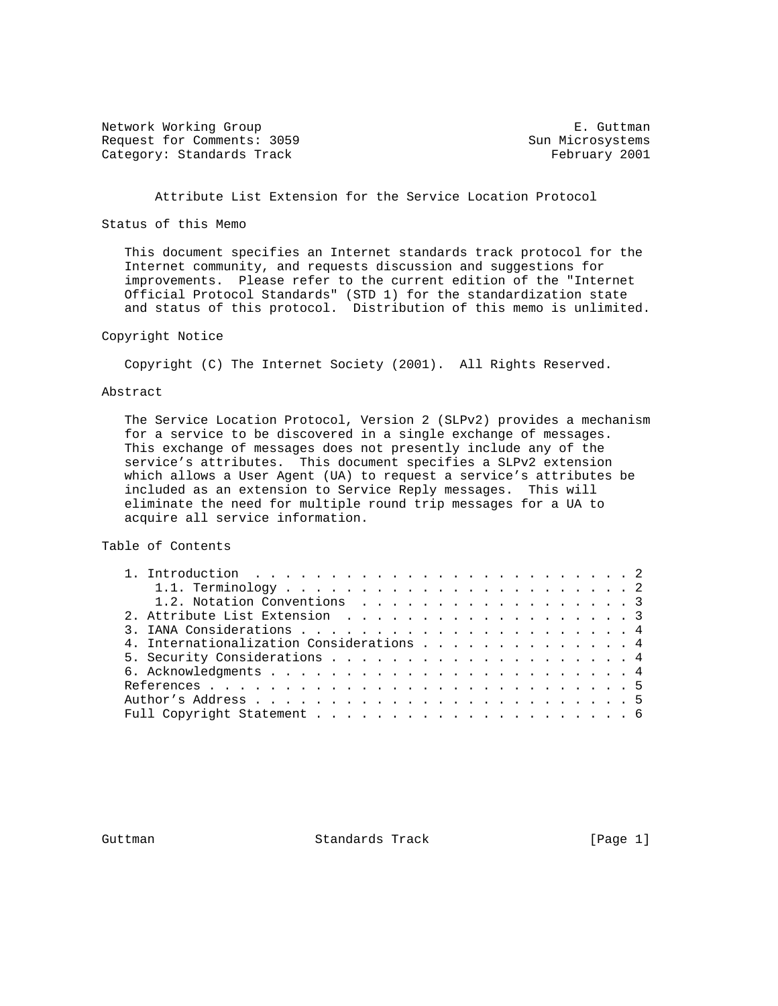Network Working Group **E. Guttman** Request for Comments: 3059 Sun Microsystems Category: Standards Track February 2001

# Attribute List Extension for the Service Location Protocol

Status of this Memo

 This document specifies an Internet standards track protocol for the Internet community, and requests discussion and suggestions for improvements. Please refer to the current edition of the "Internet Official Protocol Standards" (STD 1) for the standardization state and status of this protocol. Distribution of this memo is unlimited.

# Copyright Notice

Copyright (C) The Internet Society (2001). All Rights Reserved.

# Abstract

 The Service Location Protocol, Version 2 (SLPv2) provides a mechanism for a service to be discovered in a single exchange of messages. This exchange of messages does not presently include any of the service's attributes. This document specifies a SLPv2 extension which allows a User Agent (UA) to request a service's attributes be included as an extension to Service Reply messages. This will eliminate the need for multiple round trip messages for a UA to acquire all service information.

Table of Contents

| 1. Introduction $\ldots \ldots \ldots \ldots \ldots \ldots \ldots \ldots \ldots$ |  |
|----------------------------------------------------------------------------------|--|
|                                                                                  |  |
| 1.2. Notation Conventions 3                                                      |  |
| 2. Attribute List Extension 3                                                    |  |
|                                                                                  |  |
| 4. Internationalization Considerations 4                                         |  |
|                                                                                  |  |
|                                                                                  |  |
|                                                                                  |  |
|                                                                                  |  |
|                                                                                  |  |

Guttman **Standards Track** [Page 1]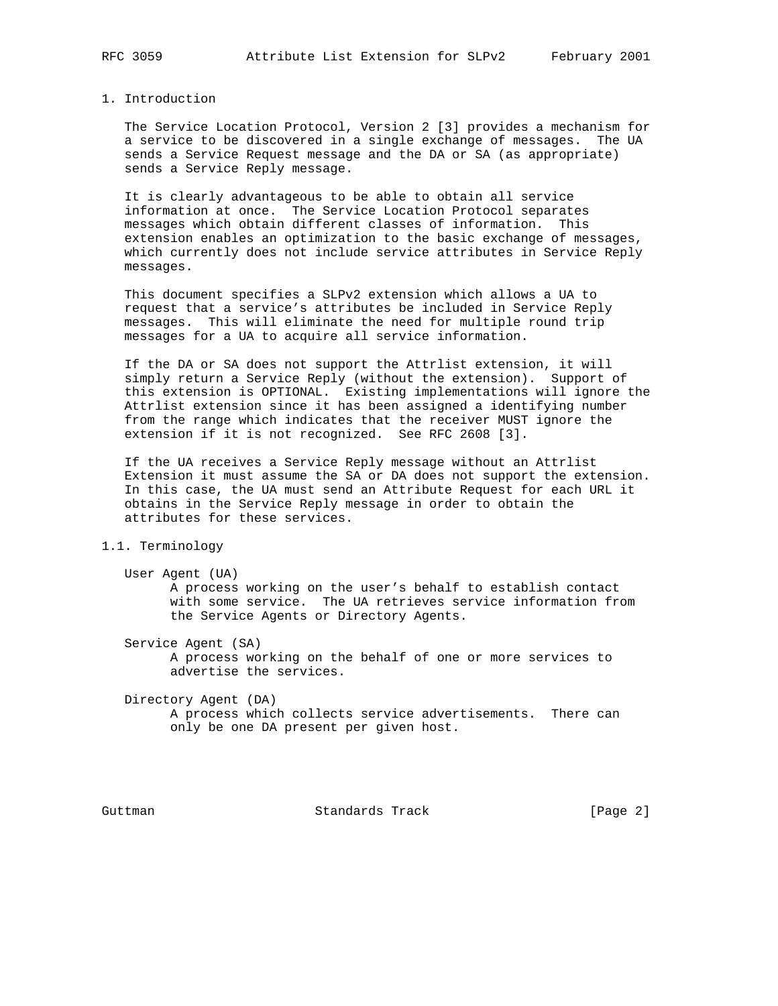## 1. Introduction

 The Service Location Protocol, Version 2 [3] provides a mechanism for a service to be discovered in a single exchange of messages. The UA sends a Service Request message and the DA or SA (as appropriate) sends a Service Reply message.

 It is clearly advantageous to be able to obtain all service information at once. The Service Location Protocol separates messages which obtain different classes of information. This extension enables an optimization to the basic exchange of messages, which currently does not include service attributes in Service Reply messages.

 This document specifies a SLPv2 extension which allows a UA to request that a service's attributes be included in Service Reply messages. This will eliminate the need for multiple round trip messages for a UA to acquire all service information.

 If the DA or SA does not support the Attrlist extension, it will simply return a Service Reply (without the extension). Support of this extension is OPTIONAL. Existing implementations will ignore the Attrlist extension since it has been assigned a identifying number from the range which indicates that the receiver MUST ignore the extension if it is not recognized. See RFC 2608 [3].

 If the UA receives a Service Reply message without an Attrlist Extension it must assume the SA or DA does not support the extension. In this case, the UA must send an Attribute Request for each URL it obtains in the Service Reply message in order to obtain the attributes for these services.

## 1.1. Terminology

 User Agent (UA) A process working on the user's behalf to establish contact with some service. The UA retrieves service information from the Service Agents or Directory Agents.

Service Agent (SA)

 A process working on the behalf of one or more services to advertise the services.

 Directory Agent (DA) A process which collects service advertisements. There can only be one DA present per given host.

Guttman **Standards Track** [Page 2]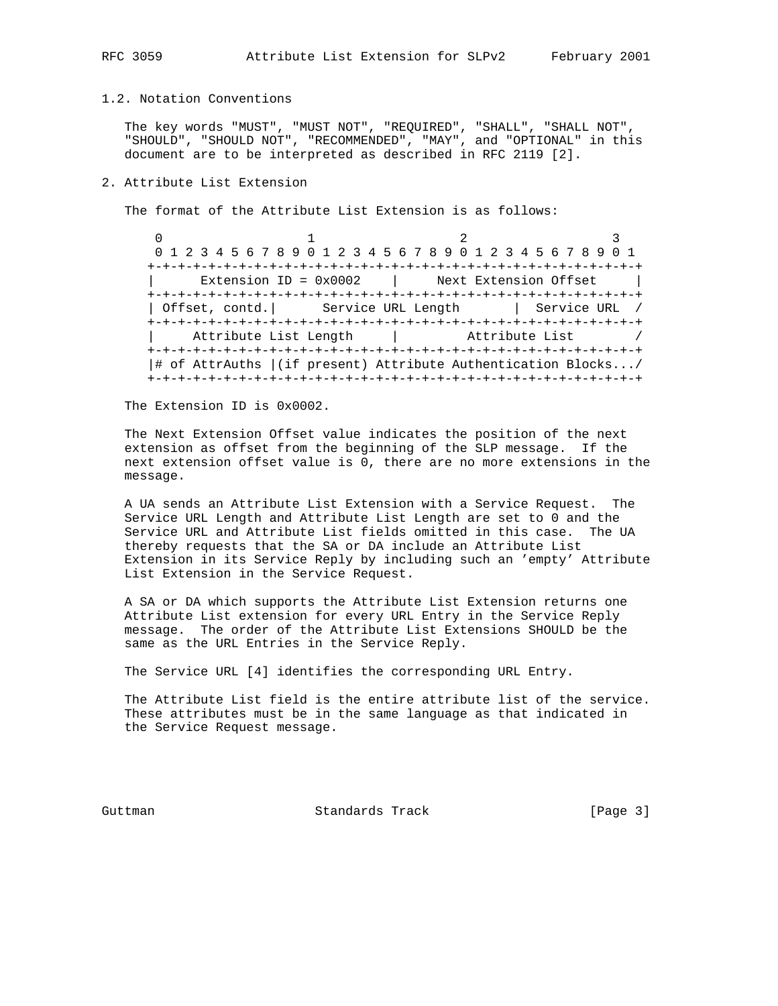#### 1.2. Notation Conventions

 The key words "MUST", "MUST NOT", "REQUIRED", "SHALL", "SHALL NOT", "SHOULD", "SHOULD NOT", "RECOMMENDED", "MAY", and "OPTIONAL" in this document are to be interpreted as described in RFC 2119 [2].

# 2. Attribute List Extension

The format of the Attribute List Extension is as follows:

 $0$  1 2 3 0 1 2 3 4 5 6 7 8 9 0 1 2 3 4 5 6 7 8 9 0 1 2 3 4 5 6 7 8 9 0 1 +-+-+-+-+-+-+-+-+-+-+-+-+-+-+-+-+-+-+-+-+-+-+-+-+-+-+-+-+-+-+-+-+  $Extension ID = 0x0002$  | Next Extension Offset +-+-+-+-+-+-+-+-+-+-+-+-+-+-+-+-+-+-+-+-+-+-+-+-+-+-+-+-+-+-+-+-+ | Offset, contd.| Service URL Length | Service URL / +-+-+-+-+-+-+-+-+-+-+-+-+-+-+-+-+-+-+-+-+-+-+-+-+-+-+-+-+-+-+-+-+ Attribute List Length  $\qquad \qquad |$  Attribute List / +-+-+-+-+-+-+-+-+-+-+-+-+-+-+-+-+-+-+-+-+-+-+-+-+-+-+-+-+-+-+-+-+ |# of AttrAuths |(if present) Attribute Authentication Blocks.../ +-+-+-+-+-+-+-+-+-+-+-+-+-+-+-+-+-+-+-+-+-+-+-+-+-+-+-+-+-+-+-+-+

The Extension ID is 0x0002.

 The Next Extension Offset value indicates the position of the next extension as offset from the beginning of the SLP message. If the next extension offset value is 0, there are no more extensions in the message.

 A UA sends an Attribute List Extension with a Service Request. The Service URL Length and Attribute List Length are set to 0 and the Service URL and Attribute List fields omitted in this case. The UA thereby requests that the SA or DA include an Attribute List Extension in its Service Reply by including such an 'empty' Attribute List Extension in the Service Request.

 A SA or DA which supports the Attribute List Extension returns one Attribute List extension for every URL Entry in the Service Reply message. The order of the Attribute List Extensions SHOULD be the same as the URL Entries in the Service Reply.

The Service URL [4] identifies the corresponding URL Entry.

 The Attribute List field is the entire attribute list of the service. These attributes must be in the same language as that indicated in the Service Request message.

Guttman **Standards Track** [Page 3]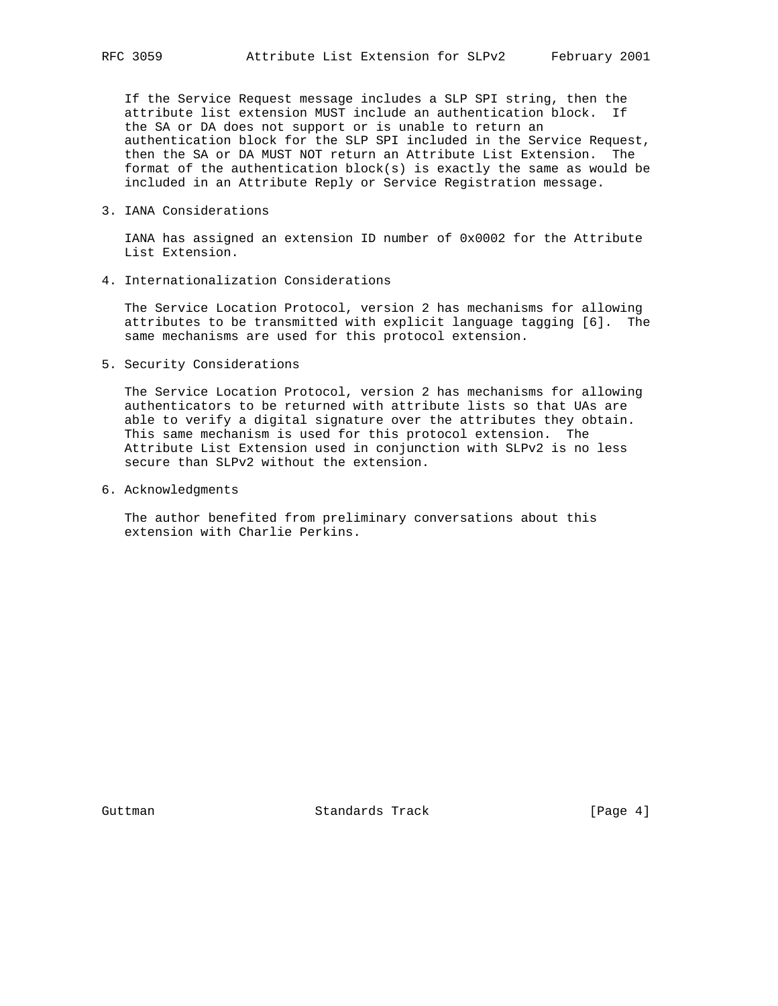If the Service Request message includes a SLP SPI string, then the attribute list extension MUST include an authentication block. If the SA or DA does not support or is unable to return an authentication block for the SLP SPI included in the Service Request, then the SA or DA MUST NOT return an Attribute List Extension. The format of the authentication block(s) is exactly the same as would be included in an Attribute Reply or Service Registration message.

3. IANA Considerations

 IANA has assigned an extension ID number of 0x0002 for the Attribute List Extension.

4. Internationalization Considerations

 The Service Location Protocol, version 2 has mechanisms for allowing attributes to be transmitted with explicit language tagging [6]. The same mechanisms are used for this protocol extension.

5. Security Considerations

 The Service Location Protocol, version 2 has mechanisms for allowing authenticators to be returned with attribute lists so that UAs are able to verify a digital signature over the attributes they obtain. This same mechanism is used for this protocol extension. The Attribute List Extension used in conjunction with SLPv2 is no less secure than SLPv2 without the extension.

6. Acknowledgments

 The author benefited from preliminary conversations about this extension with Charlie Perkins.

Guttman **Standards Track** [Page 4]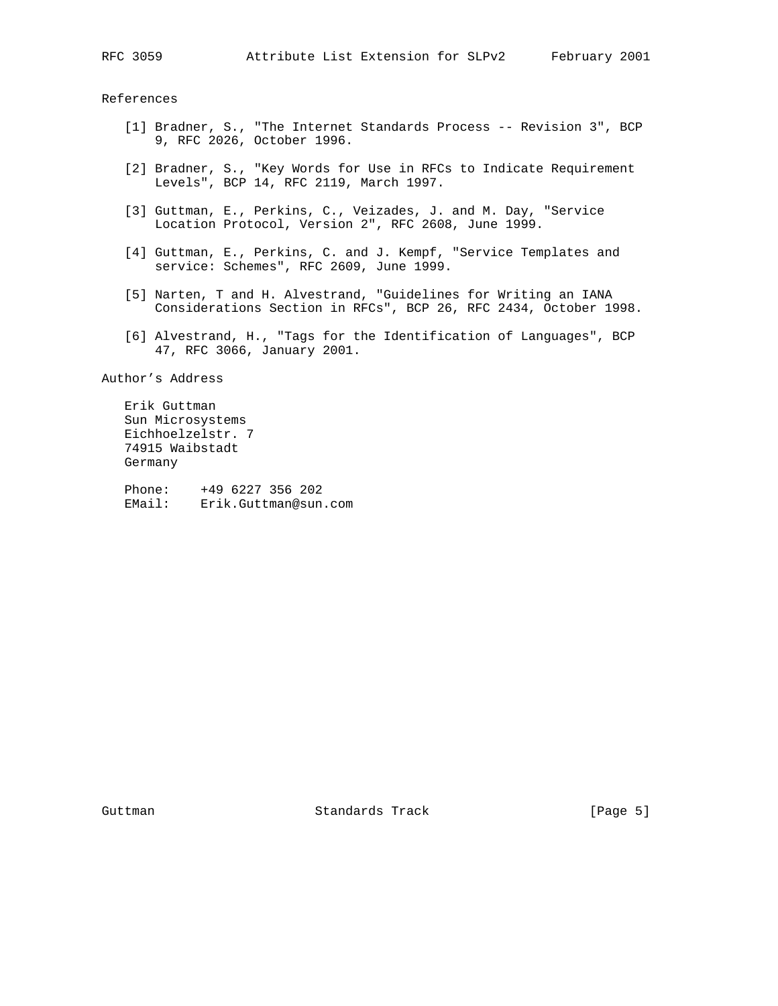References

- [1] Bradner, S., "The Internet Standards Process -- Revision 3", BCP 9, RFC 2026, October 1996.
- [2] Bradner, S., "Key Words for Use in RFCs to Indicate Requirement Levels", BCP 14, RFC 2119, March 1997.
- [3] Guttman, E., Perkins, C., Veizades, J. and M. Day, "Service Location Protocol, Version 2", RFC 2608, June 1999.
- [4] Guttman, E., Perkins, C. and J. Kempf, "Service Templates and service: Schemes", RFC 2609, June 1999.
- [5] Narten, T and H. Alvestrand, "Guidelines for Writing an IANA Considerations Section in RFCs", BCP 26, RFC 2434, October 1998.
- [6] Alvestrand, H., "Tags for the Identification of Languages", BCP 47, RFC 3066, January 2001.

Author's Address

 Erik Guttman Sun Microsystems Eichhoelzelstr. 7 74915 Waibstadt Germany

 Phone: +49 6227 356 202 EMail: Erik.Guttman@sun.com

Guttman **Standards Track** [Page 5]